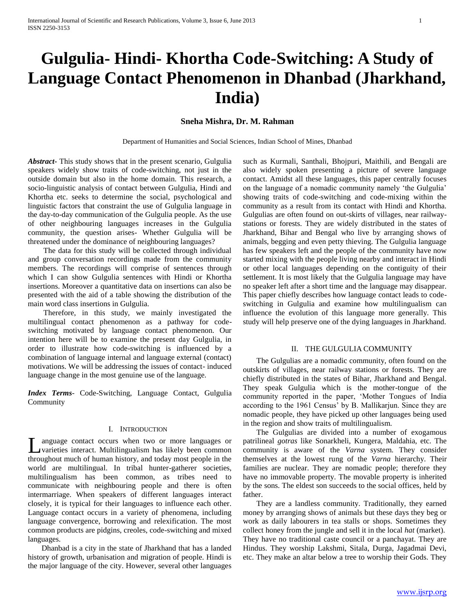# **Gulgulia- Hindi- Khortha Code-Switching: A Study of Language Contact Phenomenon in Dhanbad (Jharkhand, India)**

# **Sneha Mishra, Dr. M. Rahman**

Department of Humanities and Social Sciences, Indian School of Mines, Dhanbad

*Abstract***-** This study shows that in the present scenario, Gulgulia speakers widely show traits of code-switching, not just in the outside domain but also in the home domain. This research, a socio-linguistic analysis of contact between Gulgulia, Hindi and Khortha etc. seeks to determine the social, psychological and linguistic factors that constraint the use of Gulgulia language in the day-to-day communication of the Gulgulia people. As the use of other neighbouring languages increases in the Gulgulia community, the question arises- Whether Gulgulia will be threatened under the dominance of neighbouring languages?

 The data for this study will be collected through individual and group conversation recordings made from the community members. The recordings will comprise of sentences through which I can show Gulgulia sentences with Hindi or Khortha insertions. Moreover a quantitative data on insertions can also be presented with the aid of a table showing the distribution of the main word class insertions in Gulgulia.

 Therefore, in this study, we mainly investigated the multilingual contact phenomenon as a pathway for codeswitching motivated by language contact phenomenon. Our intention here will be to examine the present day Gulgulia, in order to illustrate how code-switching is influenced by a combination of language internal and language external (contact) motivations. We will be addressing the issues of contact- induced language change in the most genuine use of the language.

*Index Terms*- Code-Switching, Language Contact, Gulgulia Community

#### I. INTRODUCTION

anguage contact occurs when two or more languages or varieties interact. Multilingualism has likely been common throughout much of human history, and today most people in the world are multilingual. In tribal hunter-gatherer societies, multilingualism has been common, as tribes need to communicate with neighbouring people and there is often intermarriage. When speakers of different languages interact closely, it is typical for their languages to influence each other. Language contact occurs in a variety of phenomena, including language convergence, borrowing and relexification. The most common products are pidgins, creoles, code-switching and mixed languages.  $\overline{\mathsf{L}}$ 

 Dhanbad is a city in the state of Jharkhand that has a landed history of growth, urbanisation and migration of people. Hindi is the major language of the city. However, several other languages such as Kurmali, Santhali, Bhojpuri, Maithili, and Bengali are also widely spoken presenting a picture of severe language contact. Amidst all these languages, this paper centrally focuses on the language of a nomadic community namely 'the Gulgulia' showing traits of code-switching and code-mixing within the community as a result from its contact with Hindi and Khortha. Gulgulias are often found on out-skirts of villages, near railwaystations or forests. They are widely distributed in the states of Jharkhand, Bihar and Bengal who live by arranging shows of animals, begging and even petty thieving. The Gulgulia language has few speakers left and the people of the community have now started mixing with the people living nearby and interact in Hindi or other local languages depending on the contiguity of their settlement. It is most likely that the Gulgulia language may have no speaker left after a short time and the language may disappear. This paper chiefly describes how language contact leads to codeswitching in Gulgulia and examine how multilingualism can influence the evolution of this language more generally. This study will help preserve one of the dying languages in Jharkhand.

#### II. THE GULGULIA COMMUNITY

 The Gulgulias are a nomadic community, often found on the outskirts of villages, near railway stations or forests. They are chiefly distributed in the states of Bihar, Jharkhand and Bengal. They speak Gulgulia which is the mother-tongue of the community reported in the paper, 'Mother Tongues of India according to the 1961 Census' by B. Mallikarjun. Since they are nomadic people, they have picked up other languages being used in the region and show traits of multilingualism.

 The Gulgulias are divided into a number of exogamous patrilineal *gotras* like Sonarkheli, Kungera, Maldahia, etc. The community is aware of the *Varna* system. They consider themselves at the lowest rung of the *Varna* hierarchy. Their families are nuclear. They are nomadic people; therefore they have no immovable property. The movable property is inherited by the sons. The eldest son succeeds to the social offices, held by father.

 They are a landless community. Traditionally, they earned money by arranging shows of animals but these days they beg or work as daily labourers in tea stalls or shops. Sometimes they collect honey from the jungle and sell it in the local *hat* (market). They have no traditional caste council or a panchayat. They are Hindus. They worship Lakshmi, Sitala, Durga, Jagadmai Devi, etc. They make an altar below a tree to worship their Gods. They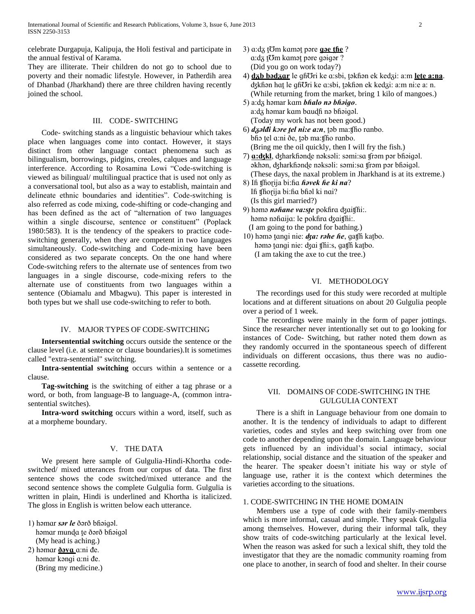celebrate Durgapuja, Kalipuja, the Holi festival and participate in the annual festival of Karama.

They are illiterate. Their children do not go to school due to poverty and their nomadic lifestyle. However, in Patherdih area of Dhanbad (Jharkhand) there are three children having recently joined the school.

## III. CODE- SWITCHING

 Code- switching stands as a linguistic behaviour which takes place when languages come into contact. However, it stays distinct from other language contact phenomena such as bilingualism, borrowings, pidgins, creoles, calques and language interference. According to Rosamina Lowi "Code-switching is viewed as bilingual/ multilingual practice that is used not only as a conversational tool, but also as a way to establish, maintain and delineate ethnic boundaries and identities". Code-switching is also referred as code mixing, code-shifting or code-changing and has been defined as the act of "alternation of two languages within a single discourse, sentence or constituent" (Poplack 1980:583). It is the tendency of the speakers to practice codeswitching generally, when they are competent in two languages simultaneously. Code-switching and Code-mixing have been considered as two separate concepts. On the one hand where Code-switching refers to the alternate use of sentences from two languages in a single discourse, code-mixing refers to the alternate use of constituents from two languages within a sentence (Obiamalu and Mbagwu). This paper is interested in both types but we shall use code-switching to refer to both.

#### IV. MAJOR TYPES OF CODE-SWITCHING

 **Intersentential switching** occurs outside the sentence or the clause level (i.e. at sentence or clause boundaries).It is sometimes called "extra-sentential" switching.

 **Intra-sentential switching** occurs within a sentence or a clause.

 **Tag-switching** is the switching of either a tag phrase or a word, or both, from language-B to language-A, (common intrasentential switches).

 **Intra-word switching** occurs within a word, itself, such as at a morpheme boundary.

## V. THE DATA

 We present here sample of Gulgulia-Hindi-Khortha codeswitched/ mixed utterances from our corpus of data. The first sentence shows the code switched/mixed utterance and the second sentence shows the complete Gulgulia form. Gulgulia is written in plain, Hindi is underlined and Khortha is italicized. The gloss in English is written below each utterance.

- 1) həmɑr *sər le* ðərð bɦəiɡəl. həmɑr munɖɑ ṱe ðərð bɦəiɡəl (My head is aching.)
- 2) həmar **dəva** a:ni de. həmar kəngi a:ni de. (Bring my medicine.)
- 3)  $a: d\overline{d}$  to kamət pəre **g g** as the ? a:dz tom kamət pəre gəigər ? (Did you go on work today?)
- 4) **dᵹb bədᵹɑr** le ɡɦƱri ke ɑ:sbi, ṱəkɦən ek kedᵹi: a:m **leṱe a:na**. dzkfiən hat le gfiori ke a:sbi, təkfiən ek kedzi: a:m ni:e a: n. (While returning from the market, bring 1 kilo of mangoes.)
- 5) a:dᵹ həmar kɑm *bɦɑlo nə bɦəiɡo*. a:da həmar kam baudh nə bhəigəl. (Today my work has not been good.)
- 6) *dᵹəlᵭi kɔre ṱel ni:e ɑ:n*, ṱəb ma:ʧɦo rɑnbo. bho tel a:ni ðe, tab ma:tho ranbo. (Bring me the oil quickly, then I will fry the fish.)
- 7) **ɑ:ʤkl**, ʤharkɦənɖe nəksəli: səmi:sɑ ʧrəm pər bɦəiɡəl. əkhən, ʤharkɦənɖe nəksəli: səmi:sɑ ʧrəm pər bɦəiɡəl. (These days, the naxal problem in Jharkhand is at its extreme.)
- 8) Iɦ ʧɦoɽija bi:ɦɑ *ɦəvek ɦe ki na*? Iɦ ʧɦoɽija bi:ɦɑ bɦəl ki nɑi? (Is this girl married?)
- 9) həmə *nəɦɑne va:sṱe* pokɦrɑ ʤɑiʧɦi:. həmə nəhaija: le pokfira dzaitshi:.. (I am going to the pond for bathing.)
- 10) həmə tanqi nie: *dza: rəhe he*, qatsh katbo. həmə tanqi nie: dzai thi:s, qath katbo. (I am taking the axe to cut the tree.)

# VI. METHODOLOGY

 The recordings used for this study were recorded at multiple locations and at different situations on about 20 Gulgulia people over a period of 1 week.

 The recordings were mainly in the form of paper jottings. Since the researcher never intentionally set out to go looking for instances of Code- Switching, but rather noted them down as they randomly occurred in the spontaneous speech of different individuals on different occasions, thus there was no audiocassette recording.

# VII. DOMAINS OF CODE-SWITCHING IN THE GULGULIA CONTEXT

 There is a shift in Language behaviour from one domain to another. It is the tendency of individuals to adapt to different varieties, codes and styles and keep switching over from one code to another depending upon the domain. Language behaviour gets influenced by an individual's social intimacy, social relationship, social distance and the situation of the speaker and the hearer. The speaker doesn't initiate his way or style of language use, rather it is the context which determines the varieties according to the situations.

## 1. CODE-SWITCHING IN THE HOME DOMAIN

 Members use a type of code with their family-members which is more informal, casual and simple. They speak Gulgulia among themselves. However, during their informal talk, they show traits of code-switching particularly at the lexical level. When the reason was asked for such a lexical shift, they told the investigator that they are the nomadic community roaming from one place to another, in search of food and shelter. In their course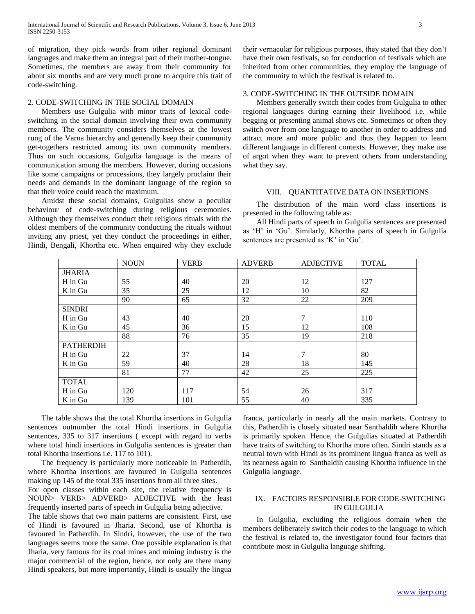of migration, they pick words from other regional dominant languages and make them an integral part of their mother-tongue. Sometimes, the members are away from their community for about six months and are very much prone to acquire this trait of code-switching.

## 2. CODE-SWITCHING IN THE SOCIAL DOMAIN

 Members use Gulgulia with minor traits of lexical codeswitching in the social domain involving their own community members. The community considers themselves at the lowest rung of the Varna hierarchy and generally keep their community get-togethers restricted among its own community members. Thus on such occasions, Gulgulia language is the means of communication among the members. However, during occasions like some campaigns or processions, they largely proclaim their needs and demands in the dominant language of the region so that their voice could reach the maximum.

 Amidst these social domains, Gulgulias show a peculiar behaviour of code-switching during religious ceremonies. Although they themselves conduct their religious rituals with the oldest members of the community conducting the rituals without inviting any priest, yet they conduct the proceedings in either, Hindi, Bengali, Khortha etc. When enquired why they exclude their vernacular for religious purposes, they stated that they don't have their own festivals, so for conduction of festivals which are inherited from other communities, they employ the language of the community to which the festival is related to.

# 3. CODE-SWITCHING IN THE OUTSIDE DOMAIN

 Members generally switch their codes from Gulgulia to other regional languages during earning their livelihood i.e. while begging or presenting animal shows etc. Sometimes or often they switch over from one language to another in order to address and attract more and more public and thus they happen to learn different language in different contexts. However, they make use of argot when they want to prevent others from understanding what they say.

#### VIII. QUANTITATIVE DATA ON INSERTIONS

 The distribution of the main word class insertions is presented in the following table as:

 All Hindi parts of speech in Gulgulia sentences are presented as 'H' in 'Gu'. Similarly, Khortha parts of speech in Gulgulia sentences are presented as 'K' in 'Gu'.

|                  | <b>NOUN</b> | <b>VERB</b> | <b>ADVERB</b> | <b>ADJECTIVE</b> | <b>TOTAL</b> |
|------------------|-------------|-------------|---------------|------------------|--------------|
| <b>JHARIA</b>    |             |             |               |                  |              |
| H in Gu          | 55          | 40          | 20            | 12               | 127          |
| K in Gu          | 35          | 25          | 12            | 10               | 82           |
|                  | 90          | 65          | 32            | 22               | 209          |
| <b>SINDRI</b>    |             |             |               |                  |              |
| H in Gu          | 43          | 40          | 20            | 7                | 110          |
| K in Gu          | 45          | 36          | 15            | 12               | 108          |
|                  | 88          | 76          | 35            | 19               | 218          |
| <b>PATHERDIH</b> |             |             |               |                  |              |
| H in Gu          | 22          | 37          | 14            | 7                | 80           |
| K in Gu          | 59          | 40          | 28            | 18               | 145          |
|                  | 81          | 77          | 42            | 25               | 225          |
| <b>TOTAL</b>     |             |             |               |                  |              |
| H in Gu          | 120         | 117         | 54            | 26               | 317          |
| $K$ in Gu        | 139         | 101         | 55            | 40               | 335          |

 The table shows that the total Khortha insertions in Gulgulia sentences outnumber the total Hindi insertions in Gulgulia sentences, 335 to 317 insertions ( except with regard to verbs where total hindi insertions in Gulgulia sentences is greater than total Khortha insertions i.e. 117 to 101).

 The frequency is particularly more noticeable in Patherdih, where Khortha insertions are favoured in Gulgulia sentences making up 145 of the total 335 insertions from all three sites.

For open classes within each site, the relative frequency is NOUN> VERB> ADVERB> ADJECTIVE with the least frequently inserted parts of speech in Gulgulia being adjective.

The table shows that two main patterns are consistent. First, use of Hindi is favoured in Jharia. Second, use of Khortha is favoured in Patherdih. In Sindri, however, the use of the two languages seems more the same. One possible explanation is that Jharia, very famous for its coal mines and mining industry is the major commercial of the region, hence, not only are there many Hindi speakers, but more importantly, Hindi is usually the lingua

franca, particularly in nearly all the main markets. Contrary to this, Patherdih is closely situated near Santhaldih where Khortha is primarily spoken. Hence, the Gulgulias situated at Patherdih have traits of switching to Khortha more often. Sindri stands as a neutral town with Hindi as its prominent lingua franca as well as its nearness again to Santhaldih causing Khortha influence in the Gulgulia language.

# IX. FACTORS RESPONSIBLE FOR CODE-SWITCHING IN GULGULIA

 In Gulgulia, excluding the religious domain when the members deliberately switch their codes to the language to which the festival is related to, the investigator found four factors that contribute most in Gulgulia language shifting.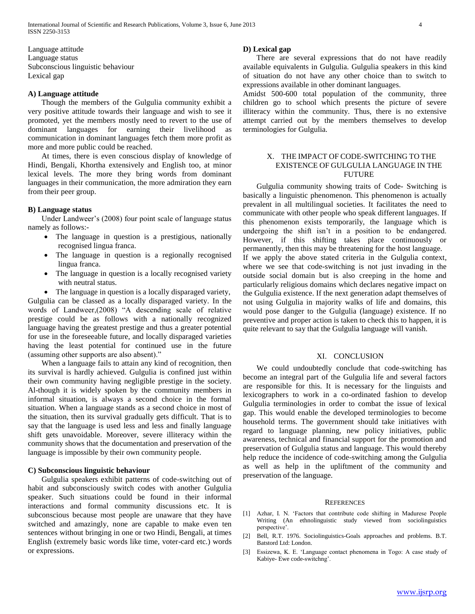Language attitude Language status Subconscious linguistic behaviour Lexical gap

## **A) Language attitude**

 Though the members of the Gulgulia community exhibit a very positive attitude towards their language and wish to see it promoted, yet the members mostly need to revert to the use of dominant languages for earning their livelihood as communication in dominant languages fetch them more profit as more and more public could be reached.

 At times, there is even conscious display of knowledge of Hindi, Bengali, Khortha extensively and English too, at minor lexical levels. The more they bring words from dominant languages in their communication, the more admiration they earn from their peer group.

#### **B) Language status**

 Under Landweer's (2008) four point scale of language status namely as follows:-

- The language in question is a prestigious, nationally recognised lingua franca.
- The language in question is a regionally recognised lingua franca.
- The language in question is a locally recognised variety with neutral status.

 The language in question is a locally disparaged variety, Gulgulia can be classed as a locally disparaged variety. In the words of Landweer,(2008) "A descending scale of relative prestige could be as follows with a nationally recognized language having the greatest prestige and thus a greater potential for use in the foreseeable future, and locally disparaged varieties having the least potential for continued use in the future (assuming other supports are also absent)."

 When a language fails to attain any kind of recognition, then its survival is hardly achieved. Gulgulia is confined just within their own community having negligible prestige in the society. Al-though it is widely spoken by the community members in informal situation, is always a second choice in the formal situation. When a language stands as a second choice in most of the situation, then its survival gradually gets difficult. That is to say that the language is used less and less and finally language shift gets unavoidable. Moreover, severe illiteracy within the community shows that the documentation and preservation of the language is impossible by their own community people.

## **C) Subconscious linguistic behaviour**

 Gulgulia speakers exhibit patterns of code-switching out of habit and subconsciously switch codes with another Gulgulia speaker. Such situations could be found in their informal interactions and formal community discussions etc. It is subconscious because most people are unaware that they have switched and amazingly, none are capable to make even ten sentences without bringing in one or two Hindi, Bengali, at times English (extremely basic words like time, voter-card etc.) words or expressions.

#### **D) Lexical gap**

 There are several expressions that do not have readily available equivalents in Gulgulia. Gulgulia speakers in this kind of situation do not have any other choice than to switch to expressions available in other dominant languages.

Amidst 500-600 total population of the community, three children go to school which presents the picture of severe illiteracy within the community. Thus, there is no extensive attempt carried out by the members themselves to develop terminologies for Gulgulia.

## X. THE IMPACT OF CODE-SWITCHING TO THE EXISTENCE OF GULGULIA LANGUAGE IN THE **FUTURE**

 Gulgulia community showing traits of Code- Switching is basically a linguistic phenomenon. This phenomenon is actually prevalent in all multilingual societies. It facilitates the need to communicate with other people who speak different languages. If this phenomenon exists temporarily, the language which is undergoing the shift isn't in a position to be endangered. However, if this shifting takes place continuously or permanently, then this may be threatening for the host language. If we apply the above stated criteria in the Gulgulia context, where we see that code-switching is not just invading in the outside social domain but is also creeping in the home and particularly religious domains which declares negative impact on the Gulgulia existence. If the next generation adapt themselves of not using Gulgulia in majority walks of life and domains, this would pose danger to the Gulgulia (language) existence. If no preventive and proper action is taken to check this to happen, it is quite relevant to say that the Gulgulia language will vanish.

## XI. CONCLUSION

 We could undoubtedly conclude that code-switching has become an integral part of the Gulgulia life and several factors are responsible for this. It is necessary for the linguists and lexicographers to work in a co-ordinated fashion to develop Gulgulia terminologies in order to combat the issue of lexical gap. This would enable the developed terminologies to become household terms. The government should take initiatives with regard to language planning, new policy initiatives, public awareness, technical and financial support for the promotion and preservation of Gulgulia status and language. This would thereby help reduce the incidence of code-switching among the Gulgulia as well as help in the upliftment of the community and preservation of the language.

#### **REFERENCES**

- [1] Azhar, I. N. 'Factors that contribute code shifting in Madurese People Writing (An ethnolinguistic study viewed from sociolinguistics perspective'.
- [2] Bell, R.T. 1976. Sociolinguistics-Goals approaches and problems. B.T. Batstord Ltd: London.
- [3] Essizewa, K. E. 'Language contact phenomena in Togo: A case study of Kabiye- Ewe code-switchng'.